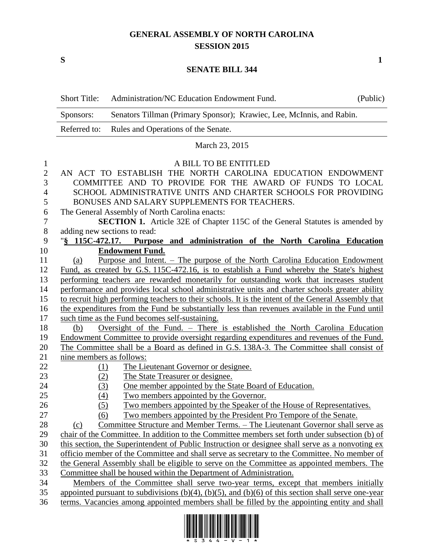## **GENERAL ASSEMBLY OF NORTH CAROLINA SESSION 2015**

**S 1**

## **SENATE BILL 344**

|                | <b>Short Title:</b>                                                                                        | Administration/NC Education Endowment Fund.                                                      | (Public) |  |  |
|----------------|------------------------------------------------------------------------------------------------------------|--------------------------------------------------------------------------------------------------|----------|--|--|
|                | Sponsors:                                                                                                  | Senators Tillman (Primary Sponsor); Krawiec, Lee, McInnis, and Rabin.                            |          |  |  |
|                | Referred to:                                                                                               | Rules and Operations of the Senate.                                                              |          |  |  |
|                |                                                                                                            | March 23, 2015                                                                                   |          |  |  |
| 1              |                                                                                                            | A BILL TO BE ENTITLED                                                                            |          |  |  |
| $\overline{c}$ | AN ACT TO ESTABLISH THE NORTH CAROLINA EDUCATION ENDOWMENT                                                 |                                                                                                  |          |  |  |
| 3              | COMMITTEE AND TO PROVIDE FOR THE AWARD OF FUNDS TO LOCAL                                                   |                                                                                                  |          |  |  |
| 4              | SCHOOL ADMINISTRATIVE UNITS AND CHARTER SCHOOLS FOR PROVIDING                                              |                                                                                                  |          |  |  |
| 5              | BONUSES AND SALARY SUPPLEMENTS FOR TEACHERS.                                                               |                                                                                                  |          |  |  |
| 6              | The General Assembly of North Carolina enacts:                                                             |                                                                                                  |          |  |  |
| 7              | <b>SECTION 1.</b> Article 32E of Chapter 115C of the General Statutes is amended by                        |                                                                                                  |          |  |  |
| $8\phantom{1}$ | adding new sections to read:                                                                               |                                                                                                  |          |  |  |
| 9              | "§ 115C-472.17. Purpose and administration of the North Carolina Education                                 |                                                                                                  |          |  |  |
| 10             |                                                                                                            | <b>Endowment Fund.</b>                                                                           |          |  |  |
| 11             | (a)                                                                                                        | <u>Purpose and Intent. – The purpose of the North Carolina Education Endowment</u>               |          |  |  |
| 12             |                                                                                                            | Fund, as created by G.S. 115C-472.16, is to establish a Fund whereby the State's highest         |          |  |  |
| 13             |                                                                                                            | performing teachers are rewarded monetarily for outstanding work that increases student          |          |  |  |
| 14             | performance and provides local school administrative units and charter schools greater ability             |                                                                                                  |          |  |  |
| 15             | to recruit high performing teachers to their schools. It is the intent of the General Assembly that        |                                                                                                  |          |  |  |
| 16             |                                                                                                            | the expenditures from the Fund be substantially less than revenues available in the Fund until   |          |  |  |
| 17             | such time as the Fund becomes self-sustaining.                                                             |                                                                                                  |          |  |  |
| 18             | Oversight of the Fund. - There is established the North Carolina Education<br>(b)                          |                                                                                                  |          |  |  |
| 19             |                                                                                                            | Endowment Committee to provide oversight regarding expenditures and revenues of the Fund.        |          |  |  |
| 20             | The Committee shall be a Board as defined in G.S. 138A-3. The Committee shall consist of                   |                                                                                                  |          |  |  |
| 21             | nine members as follows:                                                                                   |                                                                                                  |          |  |  |
| 22             | <u>(1)</u>                                                                                                 | The Lieutenant Governor or designee.                                                             |          |  |  |
| 23             | (2)                                                                                                        | The State Treasurer or designee.                                                                 |          |  |  |
| 24             | (3)                                                                                                        | One member appointed by the State Board of Education.                                            |          |  |  |
| 25             | (4)                                                                                                        | Two members appointed by the Governor.                                                           |          |  |  |
| 26             | (5)                                                                                                        | Two members appointed by the Speaker of the House of Representatives.                            |          |  |  |
| 27             | (6)                                                                                                        | Two members appointed by the President Pro Tempore of the Senate.                                |          |  |  |
| 28             | (c)                                                                                                        | <u>Committee Structure and Member Terms. – The Lieutenant Governor shall serve as</u>            |          |  |  |
| 29             |                                                                                                            | chair of the Committee. In addition to the Committee members set forth under subsection (b) of   |          |  |  |
| 30             |                                                                                                            | this section, the Superintendent of Public Instruction or designee shall serve as a nonvoting ex |          |  |  |
| 31             |                                                                                                            | officio member of the Committee and shall serve as secretary to the Committee. No member of      |          |  |  |
| 32             |                                                                                                            | the General Assembly shall be eligible to serve on the Committee as appointed members. The       |          |  |  |
| 33             | Committee shall be housed within the Department of Administration.                                         |                                                                                                  |          |  |  |
| 34             |                                                                                                            | Members of the Committee shall serve two-year terms, except that members initially               |          |  |  |
| 35             | appointed pursuant to subdivisions $(b)(4)$ , $(b)(5)$ , and $(b)(6)$ of this section shall serve one-year |                                                                                                  |          |  |  |
| 36             |                                                                                                            | terms. Vacancies among appointed members shall be filled by the appointing entity and shall      |          |  |  |

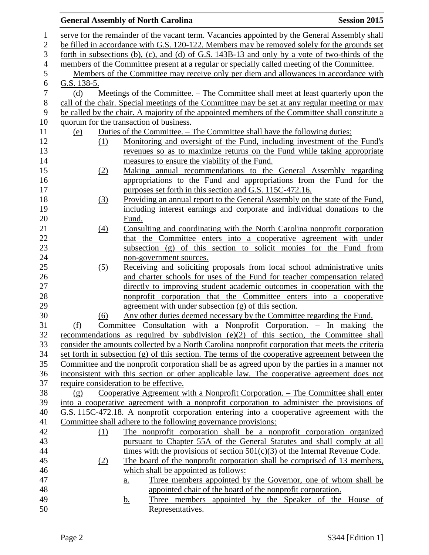## **General Assembly of North Carolina Session 2015** serve for the remainder of the vacant term. Vacancies appointed by the General Assembly shall be filled in accordance with G.S. 120-122. Members may be removed solely for the grounds set forth in subsections (b), (c), and (d) of G.S. 143B-13 and only by a vote of two-thirds of the members of the Committee present at a regular or specially called meeting of the Committee. Members of the Committee may receive only per diem and allowances in accordance with 6 G.S. 138-5.<br>7 (d) 1 (d) Meetings of the Committee. – The Committee shall meet at least quarterly upon the call of the chair. Special meetings of the Committee may be set at any regular meeting or may be called by the chair. A majority of the appointed members of the Committee shall constitute a quorum for the transaction of business. (e) Duties of the Committee. – The Committee shall have the following duties: (1) Monitoring and oversight of the Fund, including investment of the Fund's revenues so as to maximize returns on the Fund while taking appropriate measures to ensure the viability of the Fund. (2) Making annual recommendations to the General Assembly regarding appropriations to the Fund and appropriations from the Fund for the **purposes set forth in this section and G.S. 115C-472.16.**  (3) Providing an annual report to the General Assembly on the state of the Fund, including interest earnings and corporate and individual donations to the Fund. (4) Consulting and coordinating with the North Carolina nonprofit corporation 22 that the Committee enters into a cooperative agreement with under subsection (g) of this section to solicit monies for the Fund from non-government sources. (5) Receiving and soliciting proposals from local school administrative units and charter schools for uses of the Fund for teacher compensation related directly to improving student academic outcomes in cooperation with the nonprofit corporation that the Committee enters into a cooperative agreement with under subsection (g) of this section. (6) Any other duties deemed necessary by the Committee regarding the Fund. (f) Committee Consultation with a Nonprofit Corporation. – In making the recommendations as required by subdivision (e)(2) of this section, the Committee shall consider the amounts collected by a North Carolina nonprofit corporation that meets the criteria set forth in subsection (g) of this section. The terms of the cooperative agreement between the Committee and the nonprofit corporation shall be as agreed upon by the parties in a manner not inconsistent with this section or other applicable law. The cooperative agreement does not require consideration to be effective. (g) Cooperative Agreement with a Nonprofit Corporation. – The Committee shall enter into a cooperative agreement with a nonprofit corporation to administer the provisions of G.S. 115C-472.18. A nonprofit corporation entering into a cooperative agreement with the Committee shall adhere to the following governance provisions: (1) The nonprofit corporation shall be a nonprofit corporation organized pursuant to Chapter 55A of the General Statutes and shall comply at all 44 times with the provisions of section  $501(c)(3)$  of the Internal Revenue Code. (2) The board of the nonprofit corporation shall be comprised of 13 members, which shall be appointed as follows: **a.** Three members appointed by the Governor, one of whom shall be appointed chair of the board of the nonprofit corporation. 49 b. Three members appointed by the Speaker of the House of Representatives.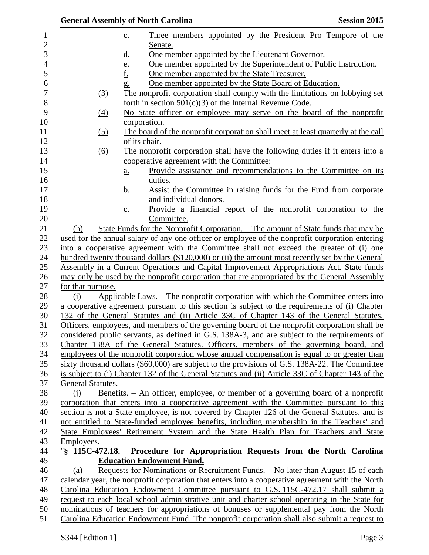|                                                                                                | <b>General Assembly of North Carolina</b>                                                                                                                                            | <b>Session 2015</b> |  |
|------------------------------------------------------------------------------------------------|--------------------------------------------------------------------------------------------------------------------------------------------------------------------------------------|---------------------|--|
|                                                                                                | Three members appointed by the President Pro Tempore of the<br>$\underline{c}$ .                                                                                                     |                     |  |
|                                                                                                | Senate.                                                                                                                                                                              |                     |  |
|                                                                                                | One member appointed by the Lieutenant Governor.<br><u>d.</u>                                                                                                                        |                     |  |
|                                                                                                | One member appointed by the Superintendent of Public Instruction.                                                                                                                    |                     |  |
|                                                                                                | $\frac{e}{f}$<br>One member appointed by the State Treasurer.                                                                                                                        |                     |  |
|                                                                                                | One member appointed by the State Board of Education.<br>$g_{\cdot}$                                                                                                                 |                     |  |
| (3)                                                                                            | The nonprofit corporation shall comply with the limitations on lobbying set                                                                                                          |                     |  |
|                                                                                                | forth in section $501(c)(3)$ of the Internal Revenue Code.                                                                                                                           |                     |  |
| (4)                                                                                            | No State officer or employee may serve on the board of the nonprofit                                                                                                                 |                     |  |
|                                                                                                | corporation.                                                                                                                                                                         |                     |  |
| (5)                                                                                            | The board of the nonprofit corporation shall meet at least quarterly at the call                                                                                                     |                     |  |
|                                                                                                | of its chair.                                                                                                                                                                        |                     |  |
| (6)                                                                                            | The nonprofit corporation shall have the following duties if it enters into a                                                                                                        |                     |  |
|                                                                                                | cooperative agreement with the Committee:                                                                                                                                            |                     |  |
|                                                                                                | Provide assistance and recommendations to the Committee on its<br>$\underline{a}$ .                                                                                                  |                     |  |
|                                                                                                | duties.                                                                                                                                                                              |                     |  |
|                                                                                                | Assist the Committee in raising funds for the Fund from corporate<br><u>b.</u>                                                                                                       |                     |  |
|                                                                                                | and individual donors.                                                                                                                                                               |                     |  |
|                                                                                                | Provide a financial report of the nonprofit corporation to the<br>$\underline{c}$ .                                                                                                  |                     |  |
|                                                                                                | Committee.                                                                                                                                                                           |                     |  |
| (h)                                                                                            | State Funds for the Nonprofit Corporation. - The amount of State funds that may be                                                                                                   |                     |  |
|                                                                                                | used for the annual salary of any one officer or employee of the nonprofit corporation entering                                                                                      |                     |  |
| into a cooperative agreement with the Committee shall not exceed the greater of (i) one        |                                                                                                                                                                                      |                     |  |
|                                                                                                | hundred twenty thousand dollars (\$120,000) or (ii) the amount most recently set by the General                                                                                      |                     |  |
|                                                                                                | Assembly in a Current Operations and Capital Improvement Appropriations Act. State funds                                                                                             |                     |  |
| may only be used by the nonprofit corporation that are appropriated by the General Assembly    |                                                                                                                                                                                      |                     |  |
| for that purpose.                                                                              |                                                                                                                                                                                      |                     |  |
| (i)                                                                                            | Applicable Laws. – The nonprofit corporation with which the Committee enters into                                                                                                    |                     |  |
|                                                                                                | a cooperative agreement pursuant to this section is subject to the requirements of (i) Chapter                                                                                       |                     |  |
| 132 of the General Statutes and (ii) Article 33C of Chapter 143 of the General Statutes.       |                                                                                                                                                                                      |                     |  |
| Officers, employees, and members of the governing board of the nonprofit corporation shall be  |                                                                                                                                                                                      |                     |  |
| considered public servants, as defined in G.S. 138A-3, and are subject to the requirements of  |                                                                                                                                                                                      |                     |  |
| Chapter 138A of the General Statutes. Officers, members of the governing board, and            |                                                                                                                                                                                      |                     |  |
|                                                                                                | employees of the nonprofit corporation whose annual compensation is equal to or greater than                                                                                         |                     |  |
|                                                                                                | sixty thousand dollars (\$60,000) are subject to the provisions of G.S. 138A-22. The Committee                                                                                       |                     |  |
|                                                                                                | is subject to (i) Chapter 132 of the General Statutes and (ii) Article 33C of Chapter 143 of the                                                                                     |                     |  |
| General Statutes.                                                                              |                                                                                                                                                                                      |                     |  |
| (i)                                                                                            | Benefits. - An officer, employee, or member of a governing board of a nonprofit                                                                                                      |                     |  |
| corporation that enters into a cooperative agreement with the Committee pursuant to this       |                                                                                                                                                                                      |                     |  |
| section is not a State employee, is not covered by Chapter 126 of the General Statutes, and is |                                                                                                                                                                                      |                     |  |
| not entitled to State-funded employee benefits, including membership in the Teachers' and      |                                                                                                                                                                                      |                     |  |
| State Employees' Retirement System and the State Health Plan for Teachers and State            |                                                                                                                                                                                      |                     |  |
| Employees.                                                                                     |                                                                                                                                                                                      |                     |  |
|                                                                                                | "§ 115C-472.18. Procedure for Appropriation Requests from the North Carolina                                                                                                         |                     |  |
|                                                                                                | <b>Education Endowment Fund.</b>                                                                                                                                                     |                     |  |
| (a)                                                                                            | Requests for Nominations or Recruitment Funds. – No later than August 15 of each                                                                                                     |                     |  |
|                                                                                                | calendar year, the nonprofit corporation that enters into a cooperative agreement with the North                                                                                     |                     |  |
|                                                                                                | Carolina Education Endowment Committee pursuant to G.S. 115C-472.17 shall submit a<br>request to each local school administrative unit and charter school operating in the State for |                     |  |
|                                                                                                | nominations of teachers for appropriations of bonuses or supplemental pay from the North                                                                                             |                     |  |
|                                                                                                | Carolina Education Endowment Fund. The nonprofit corporation shall also submit a request to                                                                                          |                     |  |
|                                                                                                |                                                                                                                                                                                      |                     |  |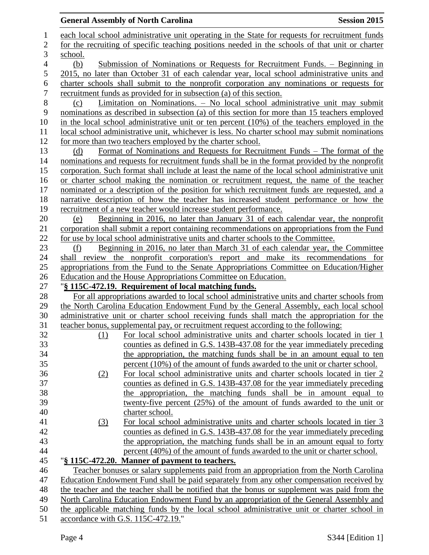## **General Assembly of North Carolina Session 2015** each local school administrative unit operating in the State for requests for recruitment funds for the recruiting of specific teaching positions needed in the schools of that unit or charter school. (b) Submission of Nominations or Requests for Recruitment Funds. – Beginning in 2015, no later than October 31 of each calendar year, local school administrative units and 6 charter schools shall submit to the nonprofit corporation any nominations or requests for recruitment funds as provided for in subsection (a) of this section. recruitment funds as provided for in subsection (a) of this section. (c) Limitation on Nominations. – No local school administrative unit may submit nominations as described in subsection (a) of this section for more than 15 teachers employed in the local school administrative unit or ten percent (10%) of the teachers employed in the local school administrative unit, whichever is less. No charter school may submit nominations for more than two teachers employed by the charter school. (d) Format of Nominations and Requests for Recruitment Funds – The format of the nominations and requests for recruitment funds shall be in the format provided by the nonprofit corporation. Such format shall include at least the name of the local school administrative unit or charter school making the nomination or recruitment request, the name of the teacher nominated or a description of the position for which recruitment funds are requested, and a narrative description of how the teacher has increased student performance or how the recruitment of a new teacher would increase student performance. (e) Beginning in 2016, no later than January 31 of each calendar year, the nonprofit corporation shall submit a report containing recommendations on appropriations from the Fund for use by local school administrative units and charter schools to the Committee. (f) Beginning in 2016, no later than March 31 of each calendar year, the Committee shall review the nonprofit corporation's report and make its recommendations for appropriations from the Fund to the Senate Appropriations Committee on Education/Higher Education and the House Appropriations Committee on Education. "**§ 115C-472.19. Requirement of local matching funds.** For all appropriations awarded to local school administrative units and charter schools from the North Carolina Education Endowment Fund by the General Assembly, each local school administrative unit or charter school receiving funds shall match the appropriation for the teacher bonus, supplemental pay, or recruitment request according to the following: (1) For local school administrative units and charter schools located in tier 1 counties as defined in G.S. 143B-437.08 for the year immediately preceding the appropriation, the matching funds shall be in an amount equal to ten percent (10%) of the amount of funds awarded to the unit or charter school. (2) For local school administrative units and charter schools located in tier 2 counties as defined in G.S. 143B-437.08 for the year immediately preceding the appropriation, the matching funds shall be in amount equal to twenty-five percent (25%) of the amount of funds awarded to the unit or charter school. (3) For local school administrative units and charter schools located in tier 3 counties as defined in G.S. 143B-437.08 for the year immediately preceding the appropriation, the matching funds shall be in an amount equal to forty percent (40%) of the amount of funds awarded to the unit or charter school. "**§ 115C-472.20. Manner of payment to teachers.** Teacher bonuses or salary supplements paid from an appropriation from the North Carolina Education Endowment Fund shall be paid separately from any other compensation received by the teacher and the teacher shall be notified that the bonus or supplement was paid from the North Carolina Education Endowment Fund by an appropriation of the General Assembly and the applicable matching funds by the local school administrative unit or charter school in accordance with G.S. 115C-472.19."